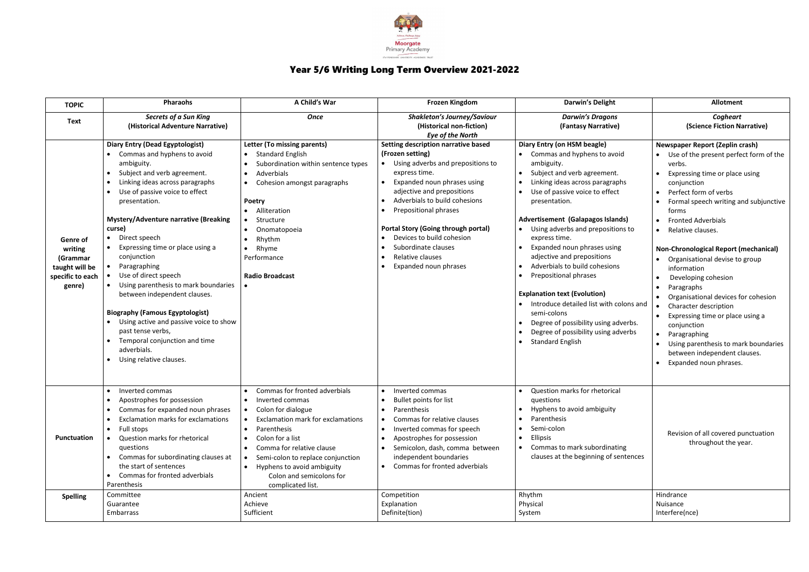

## Year 5/6 Writing Long Term Overview 2021-2022

| <b>TOPIC</b>                                                                    | <b>Pharaohs</b>                                                                                                                                                                                                                                                                                                                                                                                                                                                                                                                                                                                                                                                                                             | A Child's War                                                                                                                                                                                                                                                                                                | <b>Frozen Kingdom</b>                                                                                                                                                                                                                                                                                                                                                               | <b>Darwin's Delight</b>                                                                                                                                                                                                                                                                                                                                                                                                                                                                                                                                                                                                                  | <b>Allotment</b>                                                                                                                                                                                                                                                                                                                                                                                                                                                                                                                                                                                                                                    |
|---------------------------------------------------------------------------------|-------------------------------------------------------------------------------------------------------------------------------------------------------------------------------------------------------------------------------------------------------------------------------------------------------------------------------------------------------------------------------------------------------------------------------------------------------------------------------------------------------------------------------------------------------------------------------------------------------------------------------------------------------------------------------------------------------------|--------------------------------------------------------------------------------------------------------------------------------------------------------------------------------------------------------------------------------------------------------------------------------------------------------------|-------------------------------------------------------------------------------------------------------------------------------------------------------------------------------------------------------------------------------------------------------------------------------------------------------------------------------------------------------------------------------------|------------------------------------------------------------------------------------------------------------------------------------------------------------------------------------------------------------------------------------------------------------------------------------------------------------------------------------------------------------------------------------------------------------------------------------------------------------------------------------------------------------------------------------------------------------------------------------------------------------------------------------------|-----------------------------------------------------------------------------------------------------------------------------------------------------------------------------------------------------------------------------------------------------------------------------------------------------------------------------------------------------------------------------------------------------------------------------------------------------------------------------------------------------------------------------------------------------------------------------------------------------------------------------------------------------|
| <b>Text</b>                                                                     | <b>Secrets of a Sun King</b><br>(Historical Adventure Narrative)                                                                                                                                                                                                                                                                                                                                                                                                                                                                                                                                                                                                                                            | <b>Once</b>                                                                                                                                                                                                                                                                                                  | <b>Shakleton's Journey/Saviour</b><br>(Historical non-fiction)<br><b>Eye of the North</b>                                                                                                                                                                                                                                                                                           | <b>Darwin's Dragons</b><br>(Fantasy Narrative)                                                                                                                                                                                                                                                                                                                                                                                                                                                                                                                                                                                           | Cogheart<br>(Science Fiction Narrative)                                                                                                                                                                                                                                                                                                                                                                                                                                                                                                                                                                                                             |
| Genre of<br>writing<br>(Grammar<br>taught will be<br>specific to each<br>genre) | <b>Diary Entry (Dead Egyptologist)</b><br>Commas and hyphens to avoid<br>ambiguity.<br>Subject and verb agreement.<br>$\bullet$<br>Linking ideas across paragraphs<br>$\bullet$<br>Use of passive voice to effect<br>$\bullet$<br>presentation.<br><b>Mystery/Adventure narrative (Breaking</b><br>curse)<br>Direct speech<br>$\bullet$<br>Expressing time or place using a<br>conjunction<br>Paragraphing<br>Use of direct speech<br>Using parenthesis to mark boundaries<br>$\bullet$<br>between independent clauses.<br><b>Biography (Famous Egyptologist)</b><br>Using active and passive voice to show<br>past tense verbs,<br>Temporal conjunction and time<br>adverbials.<br>Using relative clauses. | Letter (To missing parents)<br><b>Standard English</b><br>$\bullet$<br>Subordination within sentence types<br>Adverbials<br>Cohesion amongst paragraphs<br><b>Poetry</b><br>Alliteration<br>Structure<br>Onomatopoeia<br>Rhythm<br>Rhyme<br>Performance<br><b>Radio Broadcast</b>                            | Setting description narrative based<br>(Frozen setting)<br>Using adverbs and prepositions to<br>express time.<br>Expanded noun phrases using<br>adjective and prepositions<br>Adverbials to build cohesions<br>Prepositional phrases<br><b>Portal Story (Going through portal)</b><br>Devices to build cohesion<br>Subordinate clauses<br>Relative clauses<br>Expanded noun phrases | Diary Entry (on HSM beagle)<br>Commas and hyphens to avoid<br>ambiguity.<br>Subject and verb agreement.<br>Linking ideas across paragraphs<br>Use of passive voice to effect<br>presentation.<br><b>Advertisement (Galapagos Islands)</b><br>Using adverbs and prepositions to<br>express time.<br>Expanded noun phrases using<br>adjective and prepositions<br>Adverbials to build cohesions<br><b>Prepositional phrases</b><br><b>Explanation text (Evolution)</b><br>Introduce detailed list with colons and<br>semi-colons<br>Degree of possibility using adverbs.<br>Degree of possibility using adverbs<br><b>Standard English</b> | <b>Newspaper Report (Zeplin crash)</b><br>Use of the present perfect form of the<br>verbs.<br>Expressing time or place using<br>conjunction<br>Perfect form of verbs<br>Formal speech writing and subjunctive<br>forms<br><b>Fronted Adverbials</b><br>Relative clauses.<br><b>Non-Chronological Report (mechanical)</b><br>Organisational devise to group<br>information<br>Developing cohesion<br>Paragraphs<br>Organisational devices for cohesion<br>Character description<br>Expressing time or place using a<br>conjunction<br>Paragraphing<br>Using parenthesis to mark boundaries<br>between independent clauses.<br>Expanded noun phrases. |
| Punctuation                                                                     | Inverted commas<br>$\bullet$<br>Apostrophes for possession<br>Commas for expanded noun phrases<br>$\bullet$<br>Exclamation marks for exclamations<br>$\bullet$<br>Full stops<br>$\bullet$<br>Question marks for rhetorical<br>questions<br>Commas for subordinating clauses at<br>the start of sentences<br>Commas for fronted adverbials<br>Parenthesis                                                                                                                                                                                                                                                                                                                                                    | Commas for fronted adverbials<br>Inverted commas<br>Colon for dialogue<br>Exclamation mark for exclamations<br>Parenthesis<br>$\bullet$<br>Colon for a list<br>Comma for relative clause<br>Semi-colon to replace conjunction<br>Hyphens to avoid ambiguity<br>Colon and semicolons for<br>complicated list. | Inverted commas<br>Bullet points for list<br>Parenthesis<br>Commas for relative clauses<br>Inverted commas for speech<br>Apostrophes for possession<br>Semicolon, dash, comma between<br>independent boundaries<br>Commas for fronted adverbials                                                                                                                                    | Question marks for rhetorical<br>questions<br>Hyphens to avoid ambiguity<br>$\bullet$<br>Parenthesis<br>Semi-colon<br><b>Ellipsis</b><br>Commas to mark subordinating<br>clauses at the beginning of sentences                                                                                                                                                                                                                                                                                                                                                                                                                           | Revision of all covered punctuation<br>throughout the year.                                                                                                                                                                                                                                                                                                                                                                                                                                                                                                                                                                                         |
| <b>Spelling</b>                                                                 | Committee<br>Guarantee                                                                                                                                                                                                                                                                                                                                                                                                                                                                                                                                                                                                                                                                                      | Ancient<br>Achieve                                                                                                                                                                                                                                                                                           | Competition<br>Explanation                                                                                                                                                                                                                                                                                                                                                          | Rhythm<br>Physical                                                                                                                                                                                                                                                                                                                                                                                                                                                                                                                                                                                                                       | Hindrance<br>Nuisance                                                                                                                                                                                                                                                                                                                                                                                                                                                                                                                                                                                                                               |
|                                                                                 | Embarrass                                                                                                                                                                                                                                                                                                                                                                                                                                                                                                                                                                                                                                                                                                   | Sufficient                                                                                                                                                                                                                                                                                                   | Definite(tion)                                                                                                                                                                                                                                                                                                                                                                      | System                                                                                                                                                                                                                                                                                                                                                                                                                                                                                                                                                                                                                                   | Interfere(nce)                                                                                                                                                                                                                                                                                                                                                                                                                                                                                                                                                                                                                                      |